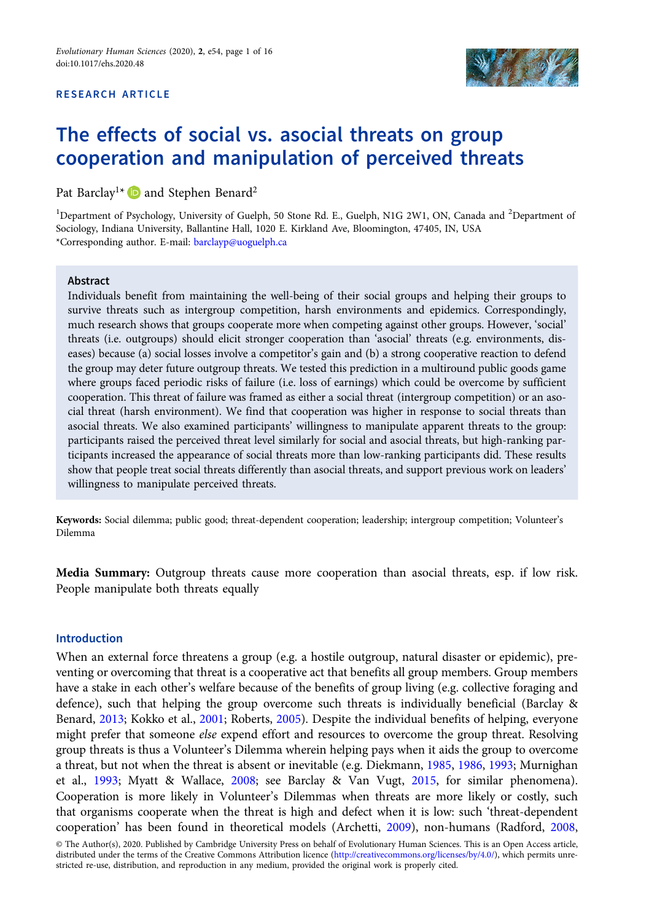# RESEARCH ARTICLE



# The effects of social vs. asocial threats on group cooperation and manipulation of perceived threats

Pat Barclay<sup>1\*</sup> **and Stephen Benard**<sup>2</sup>

<sup>1</sup>Department of Psychology, University of Guelph, 50 Stone Rd. E., Guelph, N1G 2W1, ON, Canada and <sup>2</sup>Department of Sociology, Indiana University, Ballantine Hall, 1020 E. Kirkland Ave, Bloomington, 47405, IN, USA \*Corresponding author. E-mail: [barclayp@uoguelph.ca](mailto:barclayp@uoguelph.ca)

# Abstract

Individuals benefit from maintaining the well-being of their social groups and helping their groups to survive threats such as intergroup competition, harsh environments and epidemics. Correspondingly, much research shows that groups cooperate more when competing against other groups. However, 'social' threats (i.e. outgroups) should elicit stronger cooperation than 'asocial' threats (e.g. environments, diseases) because (a) social losses involve a competitor's gain and (b) a strong cooperative reaction to defend the group may deter future outgroup threats. We tested this prediction in a multiround public goods game where groups faced periodic risks of failure (i.e. loss of earnings) which could be overcome by sufficient cooperation. This threat of failure was framed as either a social threat (intergroup competition) or an asocial threat (harsh environment). We find that cooperation was higher in response to social threats than asocial threats. We also examined participants' willingness to manipulate apparent threats to the group: participants raised the perceived threat level similarly for social and asocial threats, but high-ranking participants increased the appearance of social threats more than low-ranking participants did. These results show that people treat social threats differently than asocial threats, and support previous work on leaders' willingness to manipulate perceived threats.

Keywords: Social dilemma; public good; threat-dependent cooperation; leadership; intergroup competition; Volunteer's Dilemma

Media Summary: Outgroup threats cause more cooperation than asocial threats, esp. if low risk. People manipulate both threats equally

#### Introduction

When an external force threatens a group (e.g. a hostile outgroup, natural disaster or epidemic), preventing or overcoming that threat is a cooperative act that benefits all group members. Group members have a stake in each other's welfare because of the benefits of group living (e.g. collective foraging and defence), such that helping the group overcome such threats is individually beneficial (Barclay & Benard, [2013](#page-13-0); Kokko et al., [2001](#page-14-0); Roberts, [2005\)](#page-14-0). Despite the individual benefits of helping, everyone might prefer that someone *else* expend effort and resources to overcome the group threat. Resolving group threats is thus a Volunteer's Dilemma wherein helping pays when it aids the group to overcome a threat, but not when the threat is absent or inevitable (e.g. Diekmann, [1985](#page-13-0), [1986,](#page-13-0) [1993](#page-13-0); Murnighan et al., [1993;](#page-14-0) Myatt & Wallace, [2008](#page-14-0); see Barclay & Van Vugt, [2015,](#page-13-0) for similar phenomena). Cooperation is more likely in Volunteer's Dilemmas when threats are more likely or costly, such that organisms cooperate when the threat is high and defect when it is low: such 'threat-dependent cooperation' has been found in theoretical models (Archetti, [2009\)](#page-12-0), non-humans (Radford, [2008](#page-14-0),

© The Author(s), 2020. Published by Cambridge University Press on behalf of Evolutionary Human Sciences. This is an Open Access article, distributed under the terms of the Creative Commons Attribution licence ([http://creativecommons.org/licenses/by/4.0/\)](http://creativecommons.org/licenses/by/4.0/), which permits unrestricted re-use, distribution, and reproduction in any medium, provided the original work is properly cited.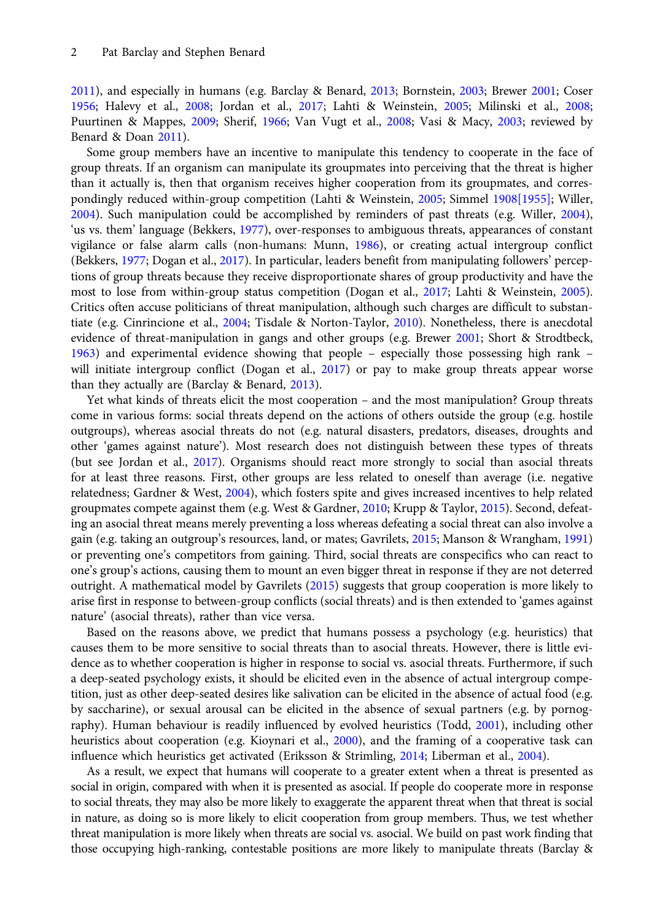[2011\)](#page-14-0), and especially in humans (e.g. Barclay & Benard, [2013](#page-13-0); Bornstein, [2003](#page-13-0); Brewer [2001;](#page-13-0) Coser [1956;](#page-13-0) Halevy et al., [2008;](#page-13-0) Jordan et al., [2017;](#page-14-0) Lahti & Weinstein, [2005](#page-14-0); Milinski et al., [2008;](#page-14-0) Puurtinen & Mappes, [2009](#page-14-0); Sherif, [1966;](#page-14-0) Van Vugt et al., [2008;](#page-15-0) Vasi & Macy, [2003](#page-15-0); reviewed by Benard & Doan [2011\)](#page-13-0).

Some group members have an incentive to manipulate this tendency to cooperate in the face of group threats. If an organism can manipulate its groupmates into perceiving that the threat is higher than it actually is, then that organism receives higher cooperation from its groupmates, and correspondingly reduced within-group competition (Lahti & Weinstein, [2005](#page-14-0); Simmel [1908\[1955\];](#page-15-0) Willer, [2004\)](#page-15-0). Such manipulation could be accomplished by reminders of past threats (e.g. Willer, [2004](#page-15-0)), 'us vs. them' language (Bekkers, [1977\)](#page-13-0), over-responses to ambiguous threats, appearances of constant vigilance or false alarm calls (non-humans: Munn, [1986](#page-14-0)), or creating actual intergroup conflict (Bekkers, [1977;](#page-13-0) Dogan et al., [2017\)](#page-13-0). In particular, leaders benefit from manipulating followers' perceptions of group threats because they receive disproportionate shares of group productivity and have the most to lose from within-group status competition (Dogan et al., [2017](#page-13-0); Lahti & Weinstein, [2005](#page-14-0)). Critics often accuse politicians of threat manipulation, although such charges are difficult to substantiate (e.g. Cinrincione et al., [2004](#page-13-0); Tisdale & Norton-Taylor, [2010](#page-15-0)). Nonetheless, there is anecdotal evidence of threat-manipulation in gangs and other groups (e.g. Brewer [2001](#page-13-0); Short & Strodtbeck, [1963\)](#page-15-0) and experimental evidence showing that people – especially those possessing high rank – will initiate intergroup conflict (Dogan et al., [2017\)](#page-13-0) or pay to make group threats appear worse than they actually are (Barclay & Benard, [2013](#page-13-0)).

Yet what kinds of threats elicit the most cooperation – and the most manipulation? Group threats come in various forms: social threats depend on the actions of others outside the group (e.g. hostile outgroups), whereas asocial threats do not (e.g. natural disasters, predators, diseases, droughts and other 'games against nature'). Most research does not distinguish between these types of threats (but see Jordan et al., [2017\)](#page-14-0). Organisms should react more strongly to social than asocial threats for at least three reasons. First, other groups are less related to oneself than average (i.e. negative relatedness; Gardner & West, [2004](#page-13-0)), which fosters spite and gives increased incentives to help related groupmates compete against them (e.g. West & Gardner, [2010](#page-15-0); Krupp & Taylor, [2015\)](#page-14-0). Second, defeating an asocial threat means merely preventing a loss whereas defeating a social threat can also involve a gain (e.g. taking an outgroup's resources, land, or mates; Gavrilets, [2015;](#page-13-0) Manson & Wrangham, [1991](#page-14-0)) or preventing one's competitors from gaining. Third, social threats are conspecifics who can react to one's group's actions, causing them to mount an even bigger threat in response if they are not deterred outright. A mathematical model by Gavrilets ([2015](#page-13-0)) suggests that group cooperation is more likely to arise first in response to between-group conflicts (social threats) and is then extended to 'games against nature' (asocial threats), rather than vice versa.

Based on the reasons above, we predict that humans possess a psychology (e.g. heuristics) that causes them to be more sensitive to social threats than to asocial threats. However, there is little evidence as to whether cooperation is higher in response to social vs. asocial threats. Furthermore, if such a deep-seated psychology exists, it should be elicited even in the absence of actual intergroup competition, just as other deep-seated desires like salivation can be elicited in the absence of actual food (e.g. by saccharine), or sexual arousal can be elicited in the absence of sexual partners (e.g. by pornography). Human behaviour is readily influenced by evolved heuristics (Todd, [2001](#page-15-0)), including other heuristics about cooperation (e.g. Kioynari et al., [2000](#page-14-0)), and the framing of a cooperative task can influence which heuristics get activated (Eriksson & Strimling, [2014;](#page-13-0) Liberman et al., [2004](#page-14-0)).

As a result, we expect that humans will cooperate to a greater extent when a threat is presented as social in origin, compared with when it is presented as asocial. If people do cooperate more in response to social threats, they may also be more likely to exaggerate the apparent threat when that threat is social in nature, as doing so is more likely to elicit cooperation from group members. Thus, we test whether threat manipulation is more likely when threats are social vs. asocial. We build on past work finding that those occupying high-ranking, contestable positions are more likely to manipulate threats (Barclay &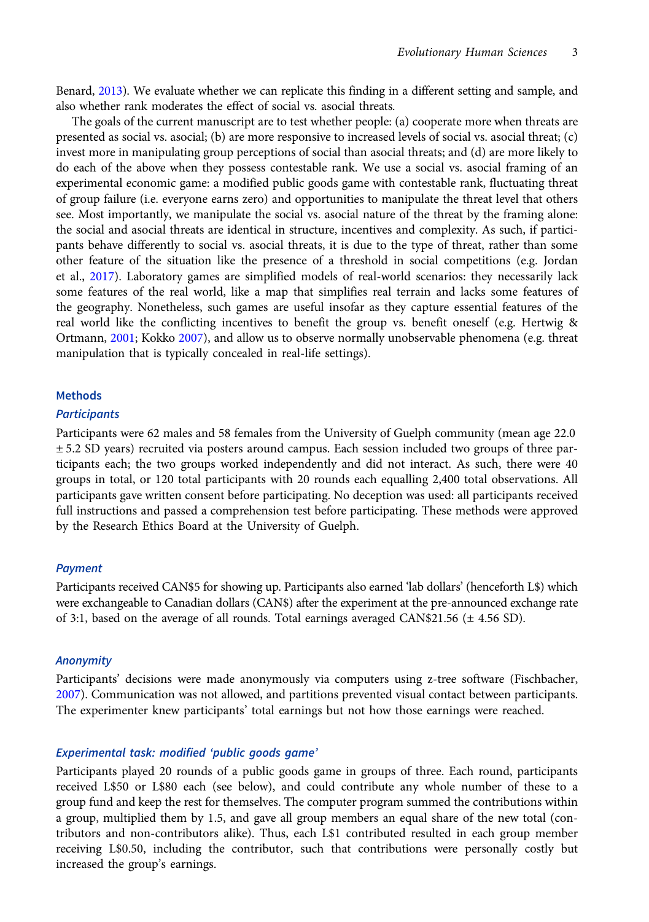Benard, [2013](#page-13-0)). We evaluate whether we can replicate this finding in a different setting and sample, and also whether rank moderates the effect of social vs. asocial threats.

The goals of the current manuscript are to test whether people: (a) cooperate more when threats are presented as social vs. asocial; (b) are more responsive to increased levels of social vs. asocial threat; (c) invest more in manipulating group perceptions of social than asocial threats; and (d) are more likely to do each of the above when they possess contestable rank. We use a social vs. asocial framing of an experimental economic game: a modified public goods game with contestable rank, fluctuating threat of group failure (i.e. everyone earns zero) and opportunities to manipulate the threat level that others see. Most importantly, we manipulate the social vs. asocial nature of the threat by the framing alone: the social and asocial threats are identical in structure, incentives and complexity. As such, if participants behave differently to social vs. asocial threats, it is due to the type of threat, rather than some other feature of the situation like the presence of a threshold in social competitions (e.g. Jordan et al., [2017\)](#page-14-0). Laboratory games are simplified models of real-world scenarios: they necessarily lack some features of the real world, like a map that simplifies real terrain and lacks some features of the geography. Nonetheless, such games are useful insofar as they capture essential features of the real world like the conflicting incentives to benefit the group vs. benefit oneself (e.g. Hertwig & Ortmann, [2001;](#page-14-0) Kokko [2007](#page-14-0)), and allow us to observe normally unobservable phenomena (e.g. threat manipulation that is typically concealed in real-life settings).

## **Methods**

## **Participants**

Participants were 62 males and 58 females from the University of Guelph community (mean age 22.0 ± 5.2 SD years) recruited via posters around campus. Each session included two groups of three participants each; the two groups worked independently and did not interact. As such, there were 40 groups in total, or 120 total participants with 20 rounds each equalling 2,400 total observations. All participants gave written consent before participating. No deception was used: all participants received full instructions and passed a comprehension test before participating. These methods were approved by the Research Ethics Board at the University of Guelph.

## Payment

Participants received CAN\$5 for showing up. Participants also earned 'lab dollars' (henceforth L\$) which were exchangeable to Canadian dollars (CAN\$) after the experiment at the pre-announced exchange rate of 3:1, based on the average of all rounds. Total earnings averaged CAN\$21.56  $(\pm 4.56$  SD).

#### Anonymity

Participants' decisions were made anonymously via computers using z-tree software (Fischbacher, [2007](#page-13-0)). Communication was not allowed, and partitions prevented visual contact between participants. The experimenter knew participants' total earnings but not how those earnings were reached.

## Experimental task: modified 'public goods game'

Participants played 20 rounds of a public goods game in groups of three. Each round, participants received L\$50 or L\$80 each (see below), and could contribute any whole number of these to a group fund and keep the rest for themselves. The computer program summed the contributions within a group, multiplied them by 1.5, and gave all group members an equal share of the new total (contributors and non-contributors alike). Thus, each L\$1 contributed resulted in each group member receiving L\$0.50, including the contributor, such that contributions were personally costly but increased the group's earnings.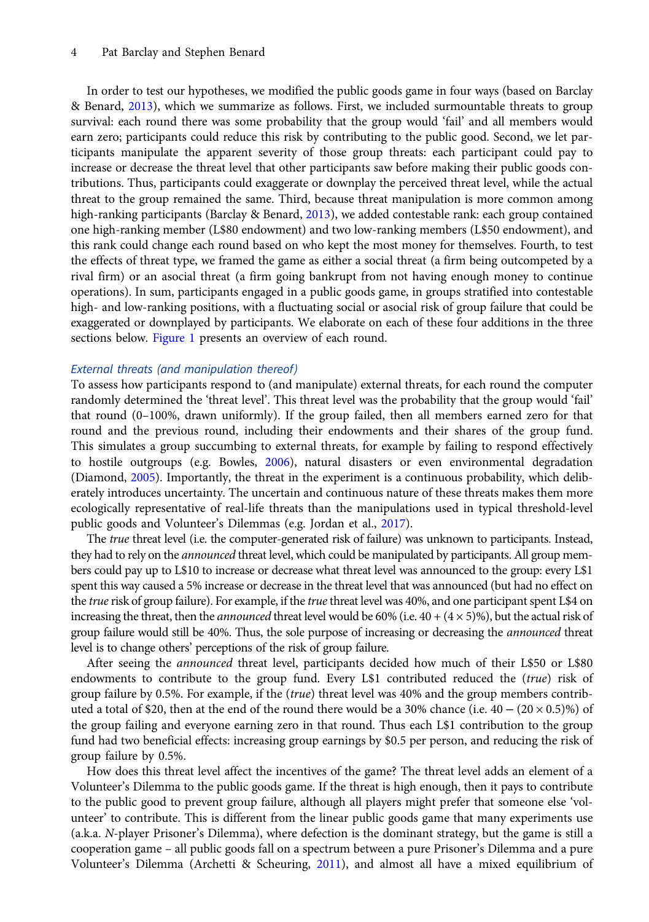#### 4 Pat Barclay and Stephen Benard

In order to test our hypotheses, we modified the public goods game in four ways (based on Barclay & Benard, [2013](#page-13-0)), which we summarize as follows. First, we included surmountable threats to group survival: each round there was some probability that the group would 'fail' and all members would earn zero; participants could reduce this risk by contributing to the public good. Second, we let participants manipulate the apparent severity of those group threats: each participant could pay to increase or decrease the threat level that other participants saw before making their public goods contributions. Thus, participants could exaggerate or downplay the perceived threat level, while the actual threat to the group remained the same. Third, because threat manipulation is more common among high-ranking participants (Barclay & Benard, [2013](#page-13-0)), we added contestable rank: each group contained one high-ranking member (L\$80 endowment) and two low-ranking members (L\$50 endowment), and this rank could change each round based on who kept the most money for themselves. Fourth, to test the effects of threat type, we framed the game as either a social threat (a firm being outcompeted by a rival firm) or an asocial threat (a firm going bankrupt from not having enough money to continue operations). In sum, participants engaged in a public goods game, in groups stratified into contestable high- and low-ranking positions, with a fluctuating social or asocial risk of group failure that could be exaggerated or downplayed by participants. We elaborate on each of these four additions in the three sections below. [Figure 1](#page-4-0) presents an overview of each round.

# External threats (and manipulation thereof)

To assess how participants respond to (and manipulate) external threats, for each round the computer randomly determined the 'threat level'. This threat level was the probability that the group would 'fail' that round (0–100%, drawn uniformly). If the group failed, then all members earned zero for that round and the previous round, including their endowments and their shares of the group fund. This simulates a group succumbing to external threats, for example by failing to respond effectively to hostile outgroups (e.g. Bowles, [2006](#page-13-0)), natural disasters or even environmental degradation (Diamond, [2005](#page-13-0)). Importantly, the threat in the experiment is a continuous probability, which deliberately introduces uncertainty. The uncertain and continuous nature of these threats makes them more ecologically representative of real-life threats than the manipulations used in typical threshold-level public goods and Volunteer's Dilemmas (e.g. Jordan et al., [2017](#page-14-0)).

The *true* threat level (i.e. the computer-generated risk of failure) was unknown to participants. Instead, they had to rely on the *announced* threat level, which could be manipulated by participants. All group members could pay up to L\$10 to increase or decrease what threat level was announced to the group: every L\$1 spent this way caused a 5% increase or decrease in the threat level that was announced (but had no effect on the true risk of group failure). For example, if the true threat level was 40%, and one participant spent L\$4 on increasing the threat, then the *announced* threat level would be 60% (i.e.  $40 + (4 \times 5)$ %), but the actual risk of group failure would still be 40%. Thus, the sole purpose of increasing or decreasing the *announced* threat level is to change others' perceptions of the risk of group failure.

After seeing the announced threat level, participants decided how much of their L\$50 or L\$80 endowments to contribute to the group fund. Every L\$1 contributed reduced the (true) risk of group failure by 0.5%. For example, if the (true) threat level was 40% and the group members contributed a total of \$20, then at the end of the round there would be a 30% chance (i.e.  $40 - (20 \times 0.5)\%$ ) of the group failing and everyone earning zero in that round. Thus each L\$1 contribution to the group fund had two beneficial effects: increasing group earnings by \$0.5 per person, and reducing the risk of group failure by 0.5%.

How does this threat level affect the incentives of the game? The threat level adds an element of a Volunteer's Dilemma to the public goods game. If the threat is high enough, then it pays to contribute to the public good to prevent group failure, although all players might prefer that someone else 'volunteer' to contribute. This is different from the linear public goods game that many experiments use (a.k.a. N-player Prisoner's Dilemma), where defection is the dominant strategy, but the game is still a cooperation game – all public goods fall on a spectrum between a pure Prisoner's Dilemma and a pure Volunteer's Dilemma (Archetti & Scheuring, [2011](#page-12-0)), and almost all have a mixed equilibrium of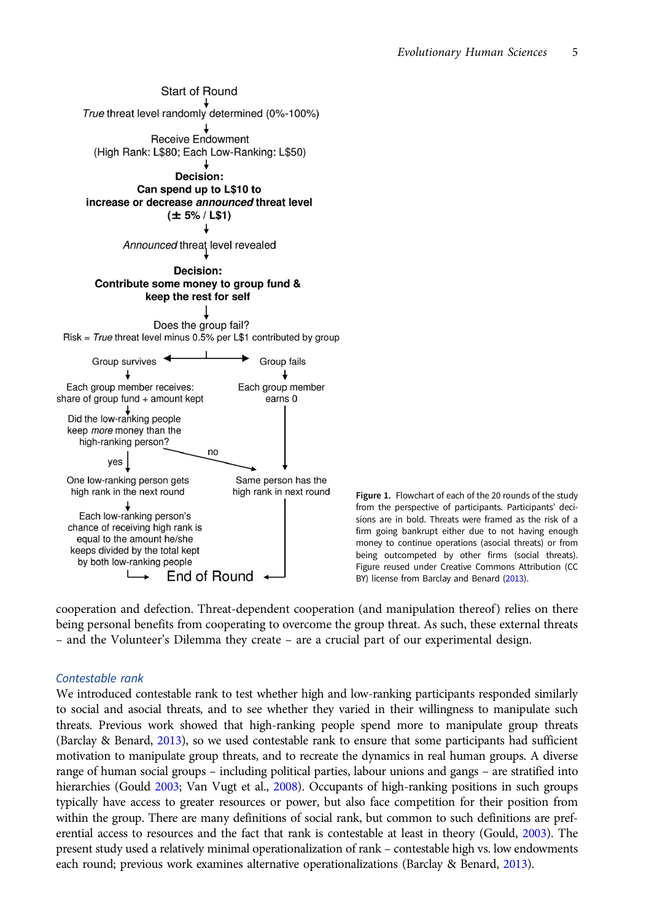<span id="page-4-0"></span>

Figure 1. Flowchart of each of the 20 rounds of the study from the perspective of participants. Participants' decisions are in bold. Threats were framed as the risk of a firm going bankrupt either due to not having enough money to continue operations (asocial threats) or from being outcompeted by other firms (social threats). Figure reused under Creative Commons Attribution (CC BY) license from Barclay and Benard [\(2013](#page-13-0)).

cooperation and defection. Threat-dependent cooperation (and manipulation thereof) relies on there being personal benefits from cooperating to overcome the group threat. As such, these external threats – and the Volunteer's Dilemma they create – are a crucial part of our experimental design.

# Contestable rank

We introduced contestable rank to test whether high and low-ranking participants responded similarly to social and asocial threats, and to see whether they varied in their willingness to manipulate such threats. Previous work showed that high-ranking people spend more to manipulate group threats (Barclay & Benard, [2013\)](#page-13-0), so we used contestable rank to ensure that some participants had sufficient motivation to manipulate group threats, and to recreate the dynamics in real human groups. A diverse range of human social groups – including political parties, labour unions and gangs – are stratified into hierarchies (Gould [2003](#page-13-0); Van Vugt et al., [2008](#page-15-0)). Occupants of high-ranking positions in such groups typically have access to greater resources or power, but also face competition for their position from within the group. There are many definitions of social rank, but common to such definitions are preferential access to resources and the fact that rank is contestable at least in theory (Gould, [2003](#page-13-0)). The present study used a relatively minimal operationalization of rank – contestable high vs. low endowments each round; previous work examines alternative operationalizations (Barclay & Benard, [2013\)](#page-13-0).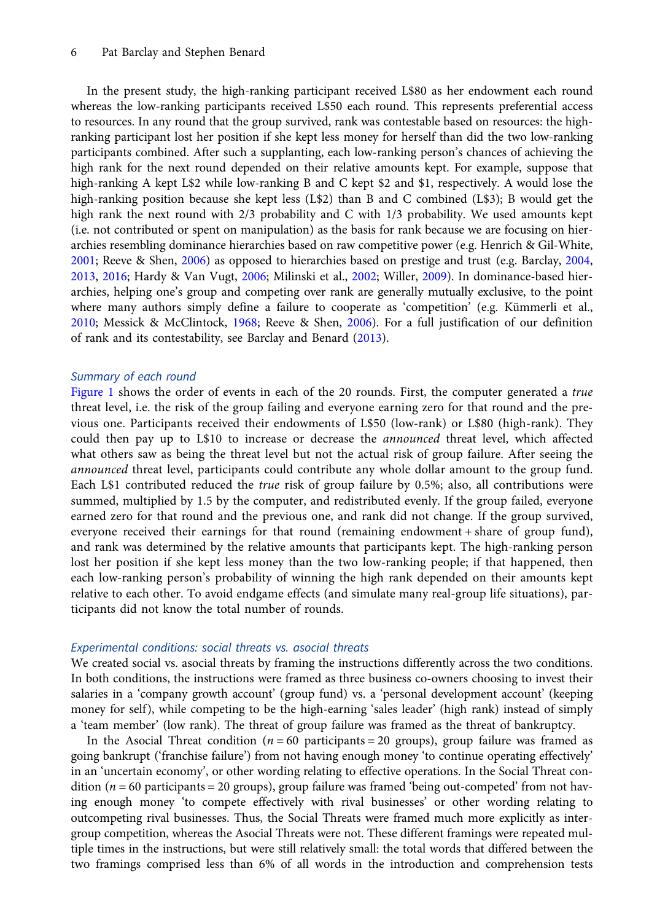#### 6 Pat Barclay and Stephen Benard

In the present study, the high-ranking participant received L\$80 as her endowment each round whereas the low-ranking participants received L\$50 each round. This represents preferential access to resources. In any round that the group survived, rank was contestable based on resources: the highranking participant lost her position if she kept less money for herself than did the two low-ranking participants combined. After such a supplanting, each low-ranking person's chances of achieving the high rank for the next round depended on their relative amounts kept. For example, suppose that high-ranking A kept L\$2 while low-ranking B and C kept \$2 and \$1, respectively. A would lose the high-ranking position because she kept less (L\$2) than B and C combined (L\$3); B would get the high rank the next round with 2/3 probability and C with 1/3 probability. We used amounts kept (i.e. not contributed or spent on manipulation) as the basis for rank because we are focusing on hierarchies resembling dominance hierarchies based on raw competitive power (e.g. Henrich & Gil-White, [2001;](#page-14-0) Reeve & Shen, [2006\)](#page-14-0) as opposed to hierarchies based on prestige and trust (e.g. Barclay, [2004,](#page-12-0) [2013,](#page-12-0) [2016;](#page-13-0) Hardy & Van Vugt, [2006](#page-14-0); Milinski et al., [2002](#page-14-0); Willer, [2009\)](#page-15-0). In dominance-based hierarchies, helping one's group and competing over rank are generally mutually exclusive, to the point where many authors simply define a failure to cooperate as 'competition' (e.g. Kümmerli et al., [2010;](#page-14-0) Messick & McClintock, [1968;](#page-14-0) Reeve & Shen, [2006\)](#page-14-0). For a full justification of our definition of rank and its contestability, see Barclay and Benard ([2013](#page-13-0)).

# Summary of each round

[Figure 1](#page-4-0) shows the order of events in each of the 20 rounds. First, the computer generated a *true* threat level, i.e. the risk of the group failing and everyone earning zero for that round and the previous one. Participants received their endowments of L\$50 (low-rank) or L\$80 (high-rank). They could then pay up to L\$10 to increase or decrease the announced threat level, which affected what others saw as being the threat level but not the actual risk of group failure. After seeing the announced threat level, participants could contribute any whole dollar amount to the group fund. Each L\$1 contributed reduced the true risk of group failure by 0.5%; also, all contributions were summed, multiplied by 1.5 by the computer, and redistributed evenly. If the group failed, everyone earned zero for that round and the previous one, and rank did not change. If the group survived, everyone received their earnings for that round (remaining endowment + share of group fund), and rank was determined by the relative amounts that participants kept. The high-ranking person lost her position if she kept less money than the two low-ranking people; if that happened, then each low-ranking person's probability of winning the high rank depended on their amounts kept relative to each other. To avoid endgame effects (and simulate many real-group life situations), participants did not know the total number of rounds.

#### Experimental conditions: social threats vs. asocial threats

We created social vs. asocial threats by framing the instructions differently across the two conditions. In both conditions, the instructions were framed as three business co-owners choosing to invest their salaries in a 'company growth account' (group fund) vs. a 'personal development account' (keeping money for self), while competing to be the high-earning 'sales leader' (high rank) instead of simply a 'team member' (low rank). The threat of group failure was framed as the threat of bankruptcy.

In the Asocial Threat condition ( $n = 60$  participants = 20 groups), group failure was framed as going bankrupt ('franchise failure') from not having enough money 'to continue operating effectively' in an 'uncertain economy', or other wording relating to effective operations. In the Social Threat condition ( $n = 60$  participants = 20 groups), group failure was framed 'being out-competed' from not having enough money 'to compete effectively with rival businesses' or other wording relating to outcompeting rival businesses. Thus, the Social Threats were framed much more explicitly as intergroup competition, whereas the Asocial Threats were not. These different framings were repeated multiple times in the instructions, but were still relatively small: the total words that differed between the two framings comprised less than 6% of all words in the introduction and comprehension tests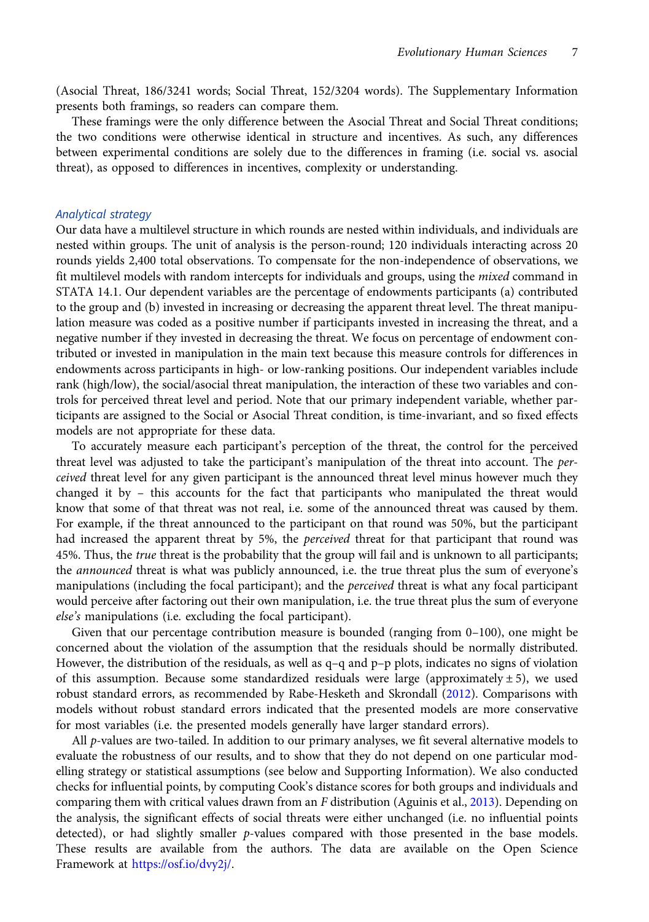(Asocial Threat, 186/3241 words; Social Threat, 152/3204 words). The Supplementary Information presents both framings, so readers can compare them.

These framings were the only difference between the Asocial Threat and Social Threat conditions; the two conditions were otherwise identical in structure and incentives. As such, any differences between experimental conditions are solely due to the differences in framing (i.e. social vs. asocial threat), as opposed to differences in incentives, complexity or understanding.

# Analytical strategy

Our data have a multilevel structure in which rounds are nested within individuals, and individuals are nested within groups. The unit of analysis is the person-round; 120 individuals interacting across 20 rounds yields 2,400 total observations. To compensate for the non-independence of observations, we fit multilevel models with random intercepts for individuals and groups, using the *mixed* command in STATA 14.1. Our dependent variables are the percentage of endowments participants (a) contributed to the group and (b) invested in increasing or decreasing the apparent threat level. The threat manipulation measure was coded as a positive number if participants invested in increasing the threat, and a negative number if they invested in decreasing the threat. We focus on percentage of endowment contributed or invested in manipulation in the main text because this measure controls for differences in endowments across participants in high- or low-ranking positions. Our independent variables include rank (high/low), the social/asocial threat manipulation, the interaction of these two variables and controls for perceived threat level and period. Note that our primary independent variable, whether participants are assigned to the Social or Asocial Threat condition, is time-invariant, and so fixed effects models are not appropriate for these data.

To accurately measure each participant's perception of the threat, the control for the perceived threat level was adjusted to take the participant's manipulation of the threat into account. The perceived threat level for any given participant is the announced threat level minus however much they changed it by – this accounts for the fact that participants who manipulated the threat would know that some of that threat was not real, i.e. some of the announced threat was caused by them. For example, if the threat announced to the participant on that round was 50%, but the participant had increased the apparent threat by 5%, the *perceived* threat for that participant that round was 45%. Thus, the true threat is the probability that the group will fail and is unknown to all participants; the *announced* threat is what was publicly announced, i.e. the true threat plus the sum of everyone's manipulations (including the focal participant); and the *perceived* threat is what any focal participant would perceive after factoring out their own manipulation, i.e. the true threat plus the sum of everyone else's manipulations (i.e. excluding the focal participant).

Given that our percentage contribution measure is bounded (ranging from 0–100), one might be concerned about the violation of the assumption that the residuals should be normally distributed. However, the distribution of the residuals, as well as  $q-q$  and  $p-p$  plots, indicates no signs of violation of this assumption. Because some standardized residuals were large (approximately  $\pm 5$ ), we used robust standard errors, as recommended by Rabe-Hesketh and Skrondall [\(2012](#page-14-0)). Comparisons with models without robust standard errors indicated that the presented models are more conservative for most variables (i.e. the presented models generally have larger standard errors).

All p-values are two-tailed. In addition to our primary analyses, we fit several alternative models to evaluate the robustness of our results, and to show that they do not depend on one particular modelling strategy or statistical assumptions (see below and Supporting Information). We also conducted checks for influential points, by computing Cook's distance scores for both groups and individuals and comparing them with critical values drawn from an F distribution (Aguinis et al., [2013](#page-12-0)). Depending on the analysis, the significant effects of social threats were either unchanged (i.e. no influential points detected), or had slightly smaller *p*-values compared with those presented in the base models. These results are available from the authors. The data are available on the Open Science Framework at [https://osf.io/dvy2j/.](https://osf.io/dvy2j/)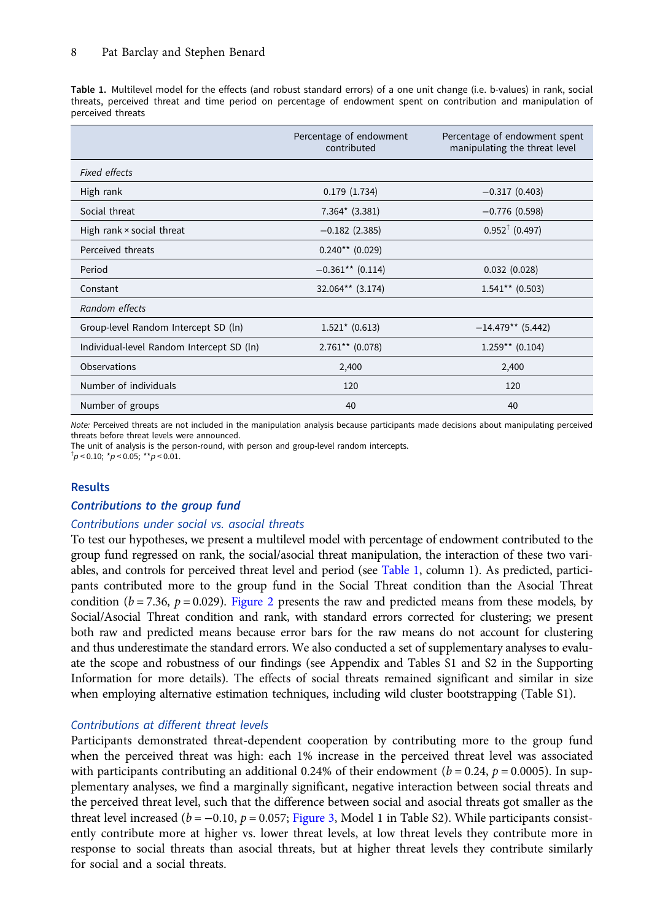<span id="page-7-0"></span>Table 1. Multilevel model for the effects (and robust standard errors) of a one unit change (i.e. b-values) in rank, social threats, perceived threat and time period on percentage of endowment spent on contribution and manipulation of perceived threats

|                                           | Percentage of endowment<br>contributed | Percentage of endowment spent<br>manipulating the threat level |
|-------------------------------------------|----------------------------------------|----------------------------------------------------------------|
| <b>Fixed effects</b>                      |                                        |                                                                |
| High rank                                 | 0.179(1.734)                           | $-0.317(0.403)$                                                |
| Social threat                             | $7.364*$ (3.381)                       | $-0.776(0.598)$                                                |
| High rank × social threat                 | $-0.182$ (2.385)                       | $0.952^{\dagger}$ (0.497)                                      |
| Perceived threats                         | $0.240**$ (0.029)                      |                                                                |
| Period                                    | $-0.361**$ (0.114)                     | 0.032(0.028)                                                   |
| Constant                                  | 32.064** (3.174)                       | $1.541**$ (0.503)                                              |
| Random effects                            |                                        |                                                                |
| Group-level Random Intercept SD (ln)      | $1.521* (0.613)$                       | $-14.479**$ (5.442)                                            |
| Individual-level Random Intercept SD (ln) | $2.761**$ (0.078)                      | $1.259**$ (0.104)                                              |
| Observations                              | 2,400                                  | 2,400                                                          |
| Number of individuals                     | 120                                    | 120                                                            |
| Number of groups                          | 40                                     | 40                                                             |

Note: Perceived threats are not included in the manipulation analysis because participants made decisions about manipulating perceived threats before threat levels were announced.

The unit of analysis is the person-round, with person and group-level random intercepts.

 $\frac{1}{p}$  < 0.10;  $\frac{*}{p}$  < 0.05;  $\frac{**}{p}$  < 0.01.

# Results

# Contributions to the group fund

## Contributions under social vs. asocial threats

To test our hypotheses, we present a multilevel model with percentage of endowment contributed to the group fund regressed on rank, the social/asocial threat manipulation, the interaction of these two variables, and controls for perceived threat level and period (see Table 1, column 1). As predicted, participants contributed more to the group fund in the Social Threat condition than the Asocial Threat condition ( $b = 7.36$ ,  $p = 0.029$ ). [Figure 2](#page-8-0) presents the raw and predicted means from these models, by Social/Asocial Threat condition and rank, with standard errors corrected for clustering; we present both raw and predicted means because error bars for the raw means do not account for clustering and thus underestimate the standard errors. We also conducted a set of supplementary analyses to evaluate the scope and robustness of our findings (see Appendix and Tables S1 and S2 in the Supporting Information for more details). The effects of social threats remained significant and similar in size when employing alternative estimation techniques, including wild cluster bootstrapping (Table S1).

# Contributions at different threat levels

Participants demonstrated threat-dependent cooperation by contributing more to the group fund when the perceived threat was high: each 1% increase in the perceived threat level was associated with participants contributing an additional 0.24% of their endowment ( $b = 0.24$ ,  $p = 0.0005$ ). In supplementary analyses, we find a marginally significant, negative interaction between social threats and the perceived threat level, such that the difference between social and asocial threats got smaller as the threat level increased ( $b = -0.10$ ,  $p = 0.057$ ; [Figure 3](#page-8-0), Model 1 in Table S2). While participants consistently contribute more at higher vs. lower threat levels, at low threat levels they contribute more in response to social threats than asocial threats, but at higher threat levels they contribute similarly for social and a social threats.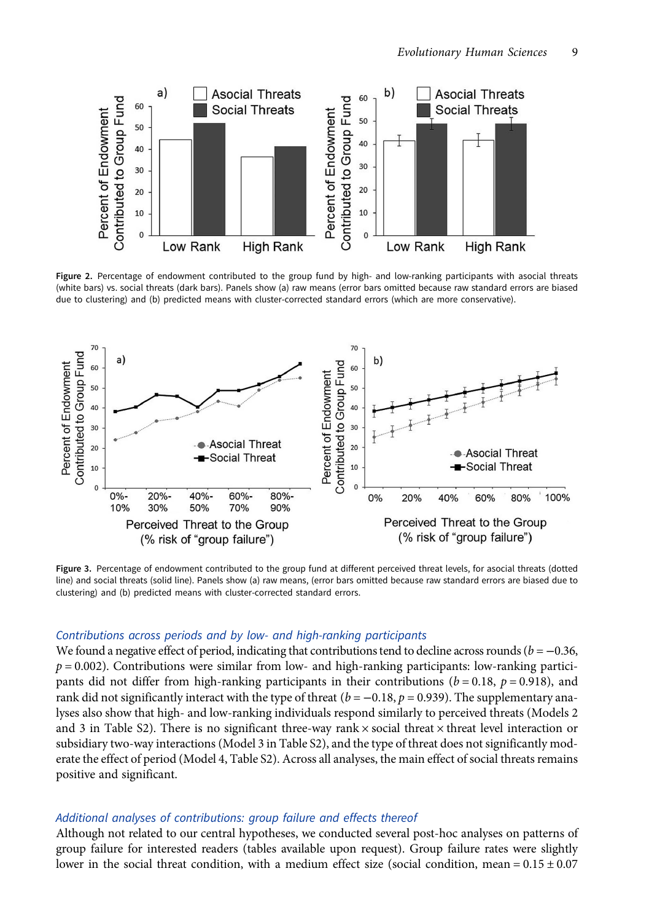<span id="page-8-0"></span>

Figure 2. Percentage of endowment contributed to the group fund by high- and low-ranking participants with asocial threats (white bars) vs. social threats (dark bars). Panels show (a) raw means (error bars omitted because raw standard errors are biased due to clustering) and (b) predicted means with cluster-corrected standard errors (which are more conservative).



Figure 3. Percentage of endowment contributed to the group fund at different perceived threat levels, for asocial threats (dotted line) and social threats (solid line). Panels show (a) raw means, (error bars omitted because raw standard errors are biased due to clustering) and (b) predicted means with cluster-corrected standard errors.

## Contributions across periods and by low- and high-ranking participants

We found a negative effect of period, indicating that contributions tend to decline across rounds ( $b = -0.36$ ,  $p = 0.002$ ). Contributions were similar from low- and high-ranking participants: low-ranking participants did not differ from high-ranking participants in their contributions ( $b = 0.18$ ,  $p = 0.918$ ), and rank did not significantly interact with the type of threat ( $b = -0.18$ ,  $p = 0.939$ ). The supplementary analyses also show that high- and low-ranking individuals respond similarly to perceived threats (Models 2 and 3 in Table S2). There is no significant three-way rank  $\times$  social threat  $\times$  threat level interaction or subsidiary two-way interactions (Model 3 in Table S2), and the type of threat does not significantly moderate the effect of period (Model 4, Table S2). Across all analyses, the main effect of social threats remains positive and significant.

# Additional analyses of contributions: group failure and effects thereof

Although not related to our central hypotheses, we conducted several post-hoc analyses on patterns of group failure for interested readers (tables available upon request). Group failure rates were slightly lower in the social threat condition, with a medium effect size (social condition, mean =  $0.15 \pm 0.07$ )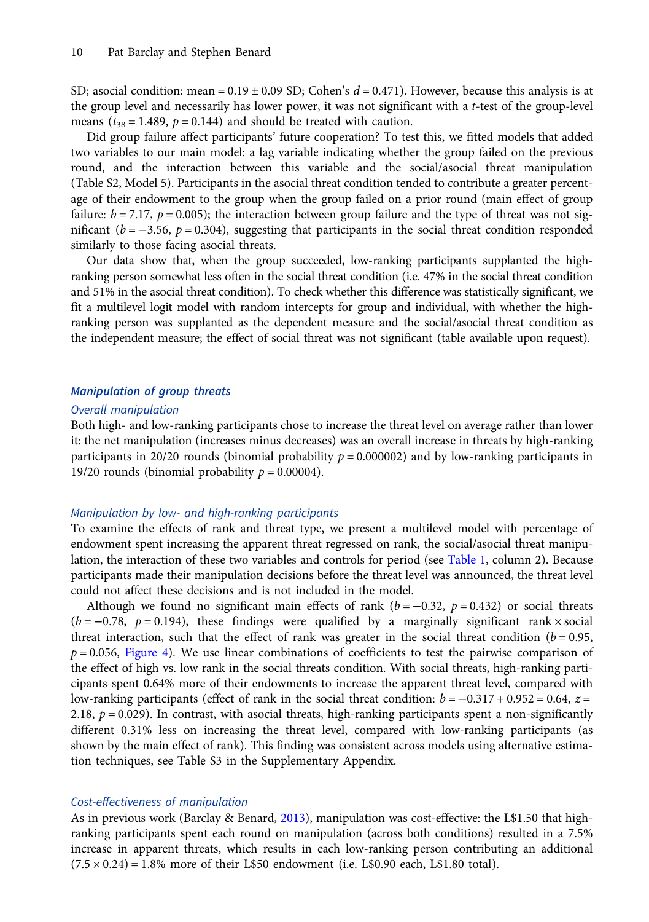SD; asocial condition: mean =  $0.19 \pm 0.09$  SD; Cohen's  $d = 0.471$ ). However, because this analysis is at the group level and necessarily has lower power, it was not significant with a t-test of the group-level means ( $t_{38}$  = 1.489,  $p$  = 0.144) and should be treated with caution.

Did group failure affect participants' future cooperation? To test this, we fitted models that added two variables to our main model: a lag variable indicating whether the group failed on the previous round, and the interaction between this variable and the social/asocial threat manipulation (Table S2, Model 5). Participants in the asocial threat condition tended to contribute a greater percentage of their endowment to the group when the group failed on a prior round (main effect of group failure:  $b = 7.17$ ,  $p = 0.005$ ; the interaction between group failure and the type of threat was not significant ( $b = -3.56$ ,  $p = 0.304$ ), suggesting that participants in the social threat condition responded similarly to those facing asocial threats.

Our data show that, when the group succeeded, low-ranking participants supplanted the highranking person somewhat less often in the social threat condition (i.e. 47% in the social threat condition and 51% in the asocial threat condition). To check whether this difference was statistically significant, we fit a multilevel logit model with random intercepts for group and individual, with whether the highranking person was supplanted as the dependent measure and the social/asocial threat condition as the independent measure; the effect of social threat was not significant (table available upon request).

# Manipulation of group threats

#### Overall manipulation

Both high- and low-ranking participants chose to increase the threat level on average rather than lower it: the net manipulation (increases minus decreases) was an overall increase in threats by high-ranking participants in 20/20 rounds (binomial probability  $p = 0.000002$ ) and by low-ranking participants in 19/20 rounds (binomial probability  $p = 0.00004$ ).

## Manipulation by low- and high-ranking participants

To examine the effects of rank and threat type, we present a multilevel model with percentage of endowment spent increasing the apparent threat regressed on rank, the social/asocial threat manipulation, the interaction of these two variables and controls for period (see [Table 1](#page-7-0), column 2). Because participants made their manipulation decisions before the threat level was announced, the threat level could not affect these decisions and is not included in the model.

Although we found no significant main effects of rank ( $b = -0.32$ ,  $p = 0.432$ ) or social threats  $(b = -0.78, p = 0.194)$ , these findings were qualified by a marginally significant rank × social threat interaction, such that the effect of rank was greater in the social threat condition  $(b = 0.95,$  $p = 0.056$ , [Figure 4\)](#page-10-0). We use linear combinations of coefficients to test the pairwise comparison of the effect of high vs. low rank in the social threats condition. With social threats, high-ranking participants spent 0.64% more of their endowments to increase the apparent threat level, compared with low-ranking participants (effect of rank in the social threat condition:  $b = -0.317 + 0.952 = 0.64$ ,  $z =$ 2.18,  $p = 0.029$ ). In contrast, with asocial threats, high-ranking participants spent a non-significantly different 0.31% less on increasing the threat level, compared with low-ranking participants (as shown by the main effect of rank). This finding was consistent across models using alternative estimation techniques, see Table S3 in the Supplementary Appendix.

# Cost-effectiveness of manipulation

As in previous work (Barclay & Benard, [2013](#page-13-0)), manipulation was cost-effective: the L\$1.50 that highranking participants spent each round on manipulation (across both conditions) resulted in a 7.5% increase in apparent threats, which results in each low-ranking person contributing an additional  $(7.5 \times 0.24) = 1.8\%$  more of their L\$50 endowment (i.e. L\$0.90 each, L\$1.80 total).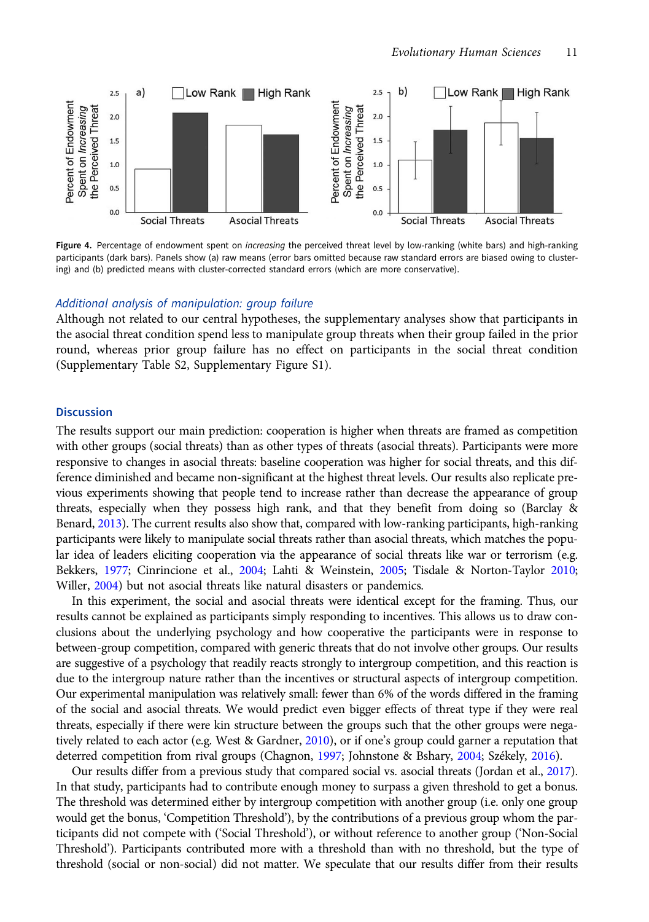<span id="page-10-0"></span>

Figure 4. Percentage of endowment spent on increasing the perceived threat level by low-ranking (white bars) and high-ranking participants (dark bars). Panels show (a) raw means (error bars omitted because raw standard errors are biased owing to clustering) and (b) predicted means with cluster-corrected standard errors (which are more conservative).

# Additional analysis of manipulation: group failure

Although not related to our central hypotheses, the supplementary analyses show that participants in the asocial threat condition spend less to manipulate group threats when their group failed in the prior round, whereas prior group failure has no effect on participants in the social threat condition (Supplementary Table S2, Supplementary Figure S1).

# **Discussion**

The results support our main prediction: cooperation is higher when threats are framed as competition with other groups (social threats) than as other types of threats (asocial threats). Participants were more responsive to changes in asocial threats: baseline cooperation was higher for social threats, and this difference diminished and became non-significant at the highest threat levels. Our results also replicate previous experiments showing that people tend to increase rather than decrease the appearance of group threats, especially when they possess high rank, and that they benefit from doing so (Barclay & Benard, [2013\)](#page-13-0). The current results also show that, compared with low-ranking participants, high-ranking participants were likely to manipulate social threats rather than asocial threats, which matches the popular idea of leaders eliciting cooperation via the appearance of social threats like war or terrorism (e.g. Bekkers, [1977](#page-13-0); Cinrincione et al., [2004](#page-13-0); Lahti & Weinstein, [2005;](#page-14-0) Tisdale & Norton-Taylor [2010](#page-15-0); Willer, [2004\)](#page-15-0) but not asocial threats like natural disasters or pandemics.

In this experiment, the social and asocial threats were identical except for the framing. Thus, our results cannot be explained as participants simply responding to incentives. This allows us to draw conclusions about the underlying psychology and how cooperative the participants were in response to between-group competition, compared with generic threats that do not involve other groups. Our results are suggestive of a psychology that readily reacts strongly to intergroup competition, and this reaction is due to the intergroup nature rather than the incentives or structural aspects of intergroup competition. Our experimental manipulation was relatively small: fewer than 6% of the words differed in the framing of the social and asocial threats. We would predict even bigger effects of threat type if they were real threats, especially if there were kin structure between the groups such that the other groups were nega-tively related to each actor (e.g. West & Gardner, [2010](#page-15-0)), or if one's group could garner a reputation that deterred competition from rival groups (Chagnon, [1997;](#page-13-0) Johnstone & Bshary, [2004;](#page-14-0) Székely, [2016](#page-15-0)).

Our results differ from a previous study that compared social vs. asocial threats (Jordan et al., [2017\)](#page-14-0). In that study, participants had to contribute enough money to surpass a given threshold to get a bonus. The threshold was determined either by intergroup competition with another group (i.e. only one group would get the bonus, 'Competition Threshold'), by the contributions of a previous group whom the participants did not compete with ('Social Threshold'), or without reference to another group ('Non-Social Threshold'). Participants contributed more with a threshold than with no threshold, but the type of threshold (social or non-social) did not matter. We speculate that our results differ from their results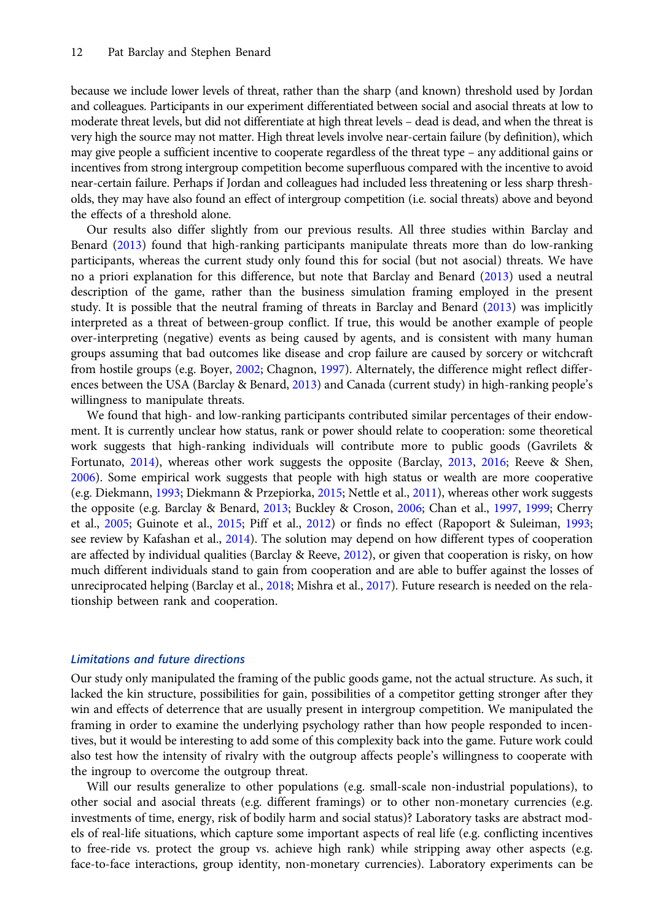because we include lower levels of threat, rather than the sharp (and known) threshold used by Jordan and colleagues. Participants in our experiment differentiated between social and asocial threats at low to moderate threat levels, but did not differentiate at high threat levels – dead is dead, and when the threat is very high the source may not matter. High threat levels involve near-certain failure (by definition), which may give people a sufficient incentive to cooperate regardless of the threat type – any additional gains or incentives from strong intergroup competition become superfluous compared with the incentive to avoid near-certain failure. Perhaps if Jordan and colleagues had included less threatening or less sharp thresholds, they may have also found an effect of intergroup competition (i.e. social threats) above and beyond the effects of a threshold alone.

Our results also differ slightly from our previous results. All three studies within Barclay and Benard [\(2013\)](#page-13-0) found that high-ranking participants manipulate threats more than do low-ranking participants, whereas the current study only found this for social (but not asocial) threats. We have no a priori explanation for this difference, but note that Barclay and Benard [\(2013\)](#page-13-0) used a neutral description of the game, rather than the business simulation framing employed in the present study. It is possible that the neutral framing of threats in Barclay and Benard [\(2013](#page-13-0)) was implicitly interpreted as a threat of between-group conflict. If true, this would be another example of people over-interpreting (negative) events as being caused by agents, and is consistent with many human groups assuming that bad outcomes like disease and crop failure are caused by sorcery or witchcraft from hostile groups (e.g. Boyer, [2002;](#page-13-0) Chagnon, [1997](#page-13-0)). Alternately, the difference might reflect differences between the USA (Barclay & Benard, [2013\)](#page-13-0) and Canada (current study) in high-ranking people's willingness to manipulate threats.

We found that high- and low-ranking participants contributed similar percentages of their endowment. It is currently unclear how status, rank or power should relate to cooperation: some theoretical work suggests that high-ranking individuals will contribute more to public goods (Gavrilets & Fortunato, [2014\)](#page-13-0), whereas other work suggests the opposite (Barclay, [2013](#page-12-0), [2016;](#page-13-0) Reeve & Shen, [2006\)](#page-14-0). Some empirical work suggests that people with high status or wealth are more cooperative (e.g. Diekmann, [1993](#page-13-0); Diekmann & Przepiorka, [2015](#page-13-0); Nettle et al., [2011](#page-14-0)), whereas other work suggests the opposite (e.g. Barclay & Benard, [2013;](#page-13-0) Buckley & Croson, [2006;](#page-13-0) Chan et al., [1997,](#page-13-0) [1999;](#page-13-0) Cherry et al., [2005](#page-13-0); Guinote et al., [2015;](#page-13-0) Piff et al., [2012\)](#page-14-0) or finds no effect (Rapoport & Suleiman, [1993;](#page-14-0) see review by Kafashan et al., [2014](#page-14-0)). The solution may depend on how different types of cooperation are affected by individual qualities (Barclay & Reeve, [2012\)](#page-13-0), or given that cooperation is risky, on how much different individuals stand to gain from cooperation and are able to buffer against the losses of unreciprocated helping (Barclay et al., [2018](#page-13-0); Mishra et al., [2017](#page-14-0)). Future research is needed on the relationship between rank and cooperation.

# Limitations and future directions

Our study only manipulated the framing of the public goods game, not the actual structure. As such, it lacked the kin structure, possibilities for gain, possibilities of a competitor getting stronger after they win and effects of deterrence that are usually present in intergroup competition. We manipulated the framing in order to examine the underlying psychology rather than how people responded to incentives, but it would be interesting to add some of this complexity back into the game. Future work could also test how the intensity of rivalry with the outgroup affects people's willingness to cooperate with the ingroup to overcome the outgroup threat.

Will our results generalize to other populations (e.g. small-scale non-industrial populations), to other social and asocial threats (e.g. different framings) or to other non-monetary currencies (e.g. investments of time, energy, risk of bodily harm and social status)? Laboratory tasks are abstract models of real-life situations, which capture some important aspects of real life (e.g. conflicting incentives to free-ride vs. protect the group vs. achieve high rank) while stripping away other aspects (e.g. face-to-face interactions, group identity, non-monetary currencies). Laboratory experiments can be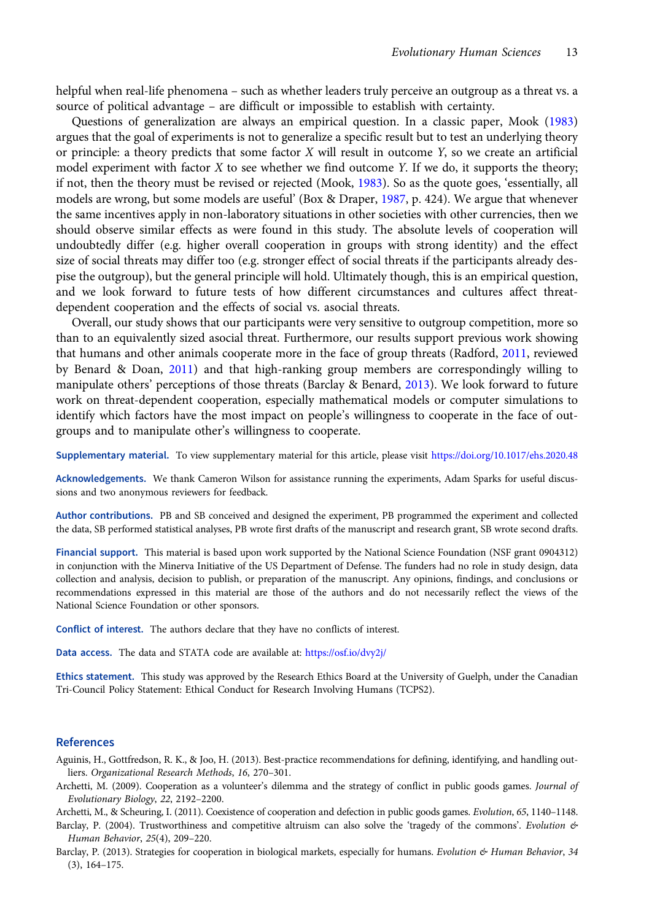<span id="page-12-0"></span>helpful when real-life phenomena – such as whether leaders truly perceive an outgroup as a threat vs. a source of political advantage – are difficult or impossible to establish with certainty.

Questions of generalization are always an empirical question. In a classic paper, Mook [\(1983](#page-14-0)) argues that the goal of experiments is not to generalize a specific result but to test an underlying theory or principle: a theory predicts that some factor  $X$  will result in outcome  $Y$ , so we create an artificial model experiment with factor  $X$  to see whether we find outcome  $Y$ . If we do, it supports the theory; if not, then the theory must be revised or rejected (Mook, [1983\)](#page-14-0). So as the quote goes, 'essentially, all models are wrong, but some models are useful' (Box & Draper, [1987](#page-13-0), p. 424). We argue that whenever the same incentives apply in non-laboratory situations in other societies with other currencies, then we should observe similar effects as were found in this study. The absolute levels of cooperation will undoubtedly differ (e.g. higher overall cooperation in groups with strong identity) and the effect size of social threats may differ too (e.g. stronger effect of social threats if the participants already despise the outgroup), but the general principle will hold. Ultimately though, this is an empirical question, and we look forward to future tests of how different circumstances and cultures affect threatdependent cooperation and the effects of social vs. asocial threats.

Overall, our study shows that our participants were very sensitive to outgroup competition, more so than to an equivalently sized asocial threat. Furthermore, our results support previous work showing that humans and other animals cooperate more in the face of group threats (Radford, [2011](#page-14-0), reviewed by Benard & Doan, [2011](#page-13-0)) and that high-ranking group members are correspondingly willing to manipulate others' perceptions of those threats (Barclay & Benard, [2013\)](#page-13-0). We look forward to future work on threat-dependent cooperation, especially mathematical models or computer simulations to identify which factors have the most impact on people's willingness to cooperate in the face of outgroups and to manipulate other's willingness to cooperate.

Supplementary material. To view supplementary material for this article, please visit <https://doi.org/10.1017/ehs.2020.48>

Acknowledgements. We thank Cameron Wilson for assistance running the experiments, Adam Sparks for useful discussions and two anonymous reviewers for feedback.

Author contributions. PB and SB conceived and designed the experiment, PB programmed the experiment and collected the data, SB performed statistical analyses, PB wrote first drafts of the manuscript and research grant, SB wrote second drafts.

Financial support. This material is based upon work supported by the National Science Foundation (NSF grant 0904312) in conjunction with the Minerva Initiative of the US Department of Defense. The funders had no role in study design, data collection and analysis, decision to publish, or preparation of the manuscript. Any opinions, findings, and conclusions or recommendations expressed in this material are those of the authors and do not necessarily reflect the views of the National Science Foundation or other sponsors.

Conflict of interest. The authors declare that they have no conflicts of interest.

Data access. The data and STATA code are available at: <https://osf.io/dvy2j/>

Ethics statement. This study was approved by the Research Ethics Board at the University of Guelph, under the Canadian Tri-Council Policy Statement: Ethical Conduct for Research Involving Humans (TCPS2).

## References

- Aguinis, H., Gottfredson, R. K., & Joo, H. (2013). Best-practice recommendations for defining, identifying, and handling outliers. Organizational Research Methods, 16, 270–301.
- Archetti, M. (2009). Cooperation as a volunteer's dilemma and the strategy of conflict in public goods games. Journal of Evolutionary Biology, 22, 2192–2200.

Archetti, M., & Scheuring, I. (2011). Coexistence of cooperation and defection in public goods games. Evolution, 65, 1140–1148.

Barclay, P. (2004). Trustworthiness and competitive altruism can also solve the 'tragedy of the commons'. Evolution & Human Behavior, 25(4), 209–220.

Barclay, P. (2013). Strategies for cooperation in biological markets, especially for humans. Evolution & Human Behavior, 34 (3), 164–175.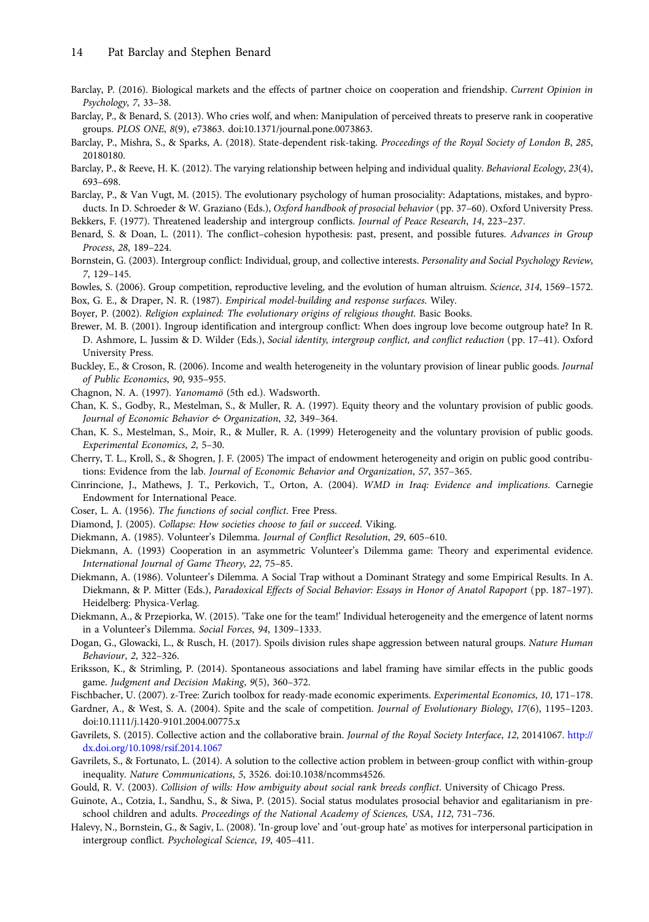- <span id="page-13-0"></span>Barclay, P. (2016). Biological markets and the effects of partner choice on cooperation and friendship. Current Opinion in Psychology, 7, 33–38.
- Barclay, P., & Benard, S. (2013). Who cries wolf, and when: Manipulation of perceived threats to preserve rank in cooperative groups. PLOS ONE, 8(9), e73863. doi:10.1371/journal.pone.0073863.
- Barclay, P., Mishra, S., & Sparks, A. (2018). State-dependent risk-taking. Proceedings of the Royal Society of London B, 285, 20180180.
- Barclay, P., & Reeve, H. K. (2012). The varying relationship between helping and individual quality. Behavioral Ecology, 23(4), 693–698.
- Barclay, P., & Van Vugt, M. (2015). The evolutionary psychology of human prosociality: Adaptations, mistakes, and byproducts. In D. Schroeder & W. Graziano (Eds.), Oxford handbook of prosocial behavior (pp. 37–60). Oxford University Press.

Bekkers, F. (1977). Threatened leadership and intergroup conflicts. Journal of Peace Research, 14, 223–237.

- Benard, S. & Doan, L. (2011). The conflict-cohesion hypothesis: past, present, and possible futures. Advances in Group Process, 28, 189–224.
- Bornstein, G. (2003). Intergroup conflict: Individual, group, and collective interests. Personality and Social Psychology Review, 7, 129–145.
- Bowles, S. (2006). Group competition, reproductive leveling, and the evolution of human altruism. Science, 314, 1569–1572. Box, G. E., & Draper, N. R. (1987). Empirical model-building and response surfaces. Wiley.

Boyer, P. (2002). Religion explained: The evolutionary origins of religious thought. Basic Books.

- Brewer, M. B. (2001). Ingroup identification and intergroup conflict: When does ingroup love become outgroup hate? In R. D. Ashmore, L. Jussim & D. Wilder (Eds.), Social identity, intergroup conflict, and conflict reduction (pp. 17–41). Oxford University Press.
- Buckley, E., & Croson, R. (2006). Income and wealth heterogeneity in the voluntary provision of linear public goods. Journal of Public Economics, 90, 935–955.
- Chagnon, N. A. (1997). Yanomamö (5th ed.). Wadsworth.
- Chan, K. S., Godby, R., Mestelman, S., & Muller, R. A. (1997). Equity theory and the voluntary provision of public goods. Journal of Economic Behavior & Organization, 32, 349-364.
- Chan, K. S., Mestelman, S., Moir, R., & Muller, R. A. (1999) Heterogeneity and the voluntary provision of public goods. Experimental Economics, 2, 5–30.
- Cherry, T. L., Kroll, S., & Shogren, J. F. (2005) The impact of endowment heterogeneity and origin on public good contributions: Evidence from the lab. Journal of Economic Behavior and Organization, 57, 357–365.
- Cinrincione, J., Mathews, J. T., Perkovich, T., Orton, A. (2004). WMD in Iraq: Evidence and implications. Carnegie Endowment for International Peace.
- Coser, L. A. (1956). The functions of social conflict. Free Press.
- Diamond, J. (2005). Collapse: How societies choose to fail or succeed. Viking.
- Diekmann, A. (1985). Volunteer's Dilemma. Journal of Conflict Resolution, 29, 605–610.
- Diekmann, A. (1993) Cooperation in an asymmetric Volunteer's Dilemma game: Theory and experimental evidence. International Journal of Game Theory, 22, 75–85.
- Diekmann, A. (1986). Volunteer's Dilemma. A Social Trap without a Dominant Strategy and some Empirical Results. In A. Diekmann, & P. Mitter (Eds.), Paradoxical Effects of Social Behavior: Essays in Honor of Anatol Rapoport (pp. 187–197). Heidelberg: Physica-Verlag.
- Diekmann, A., & Przepiorka, W. (2015). 'Take one for the team!' Individual heterogeneity and the emergence of latent norms in a Volunteer's Dilemma. Social Forces, 94, 1309–1333.
- Dogan, G., Glowacki, L., & Rusch, H. (2017). Spoils division rules shape aggression between natural groups. Nature Human Behaviour, 2, 322–326.
- Eriksson, K., & Strimling, P. (2014). Spontaneous associations and label framing have similar effects in the public goods game. Judgment and Decision Making, 9(5), 360–372.
- Fischbacher, U. (2007). z-Tree: Zurich toolbox for ready-made economic experiments. Experimental Economics, 10, 171–178.
- Gardner, A., & West, S. A. (2004). Spite and the scale of competition. Journal of Evolutionary Biology, 17(6), 1195–1203. doi:10.1111/j.1420-9101.2004.00775.x
- Gavrilets, S. (2015). Collective action and the collaborative brain. Journal of the Royal Society Interface, 12, 20141067. [http://](http://dx.doi.org/10.1098/rsif.2014.1067) [dx.doi.org/10.1098/rsif.2014.1067](http://dx.doi.org/10.1098/rsif.2014.1067)
- Gavrilets, S., & Fortunato, L. (2014). A solution to the collective action problem in between-group conflict with within-group inequality. Nature Communications, 5, 3526. doi:10.1038/ncomms4526.
- Gould, R. V. (2003). Collision of wills: How ambiguity about social rank breeds conflict. University of Chicago Press.
- Guinote, A., Cotzia, I., Sandhu, S., & Siwa, P. (2015). Social status modulates prosocial behavior and egalitarianism in preschool children and adults. Proceedings of the National Academy of Sciences, USA, 112, 731–736.
- Halevy, N., Bornstein, G., & Sagiv, L. (2008). 'In-group love' and 'out-group hate' as motives for interpersonal participation in intergroup conflict. Psychological Science, 19, 405–411.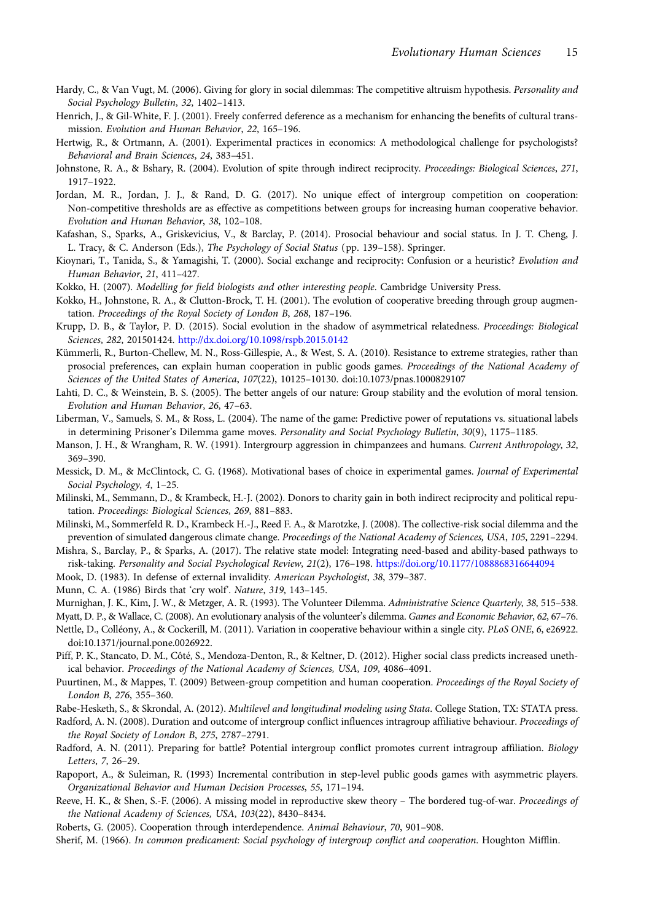- <span id="page-14-0"></span>Hardy, C., & Van Vugt, M. (2006). Giving for glory in social dilemmas: The competitive altruism hypothesis. Personality and Social Psychology Bulletin, 32, 1402–1413.
- Henrich, J., & Gil-White, F. J. (2001). Freely conferred deference as a mechanism for enhancing the benefits of cultural transmission. Evolution and Human Behavior, 22, 165–196.
- Hertwig, R., & Ortmann, A. (2001). Experimental practices in economics: A methodological challenge for psychologists? Behavioral and Brain Sciences, 24, 383–451.
- Johnstone, R. A., & Bshary, R. (2004). Evolution of spite through indirect reciprocity. Proceedings: Biological Sciences, 271, 1917–1922.
- Jordan, M. R., Jordan, J. J., & Rand, D. G. (2017). No unique effect of intergroup competition on cooperation: Non-competitive thresholds are as effective as competitions between groups for increasing human cooperative behavior. Evolution and Human Behavior, 38, 102–108.
- Kafashan, S., Sparks, A., Griskevicius, V., & Barclay, P. (2014). Prosocial behaviour and social status. In J. T. Cheng, J. L. Tracy, & C. Anderson (Eds.), The Psychology of Social Status (pp. 139–158). Springer.
- Kioynari, T., Tanida, S., & Yamagishi, T. (2000). Social exchange and reciprocity: Confusion or a heuristic? Evolution and Human Behavior, 21, 411–427.
- Kokko, H. (2007). Modelling for field biologists and other interesting people. Cambridge University Press.
- Kokko, H., Johnstone, R. A., & Clutton-Brock, T. H. (2001). The evolution of cooperative breeding through group augmentation. Proceedings of the Royal Society of London B, 268, 187–196.
- Krupp, D. B., & Taylor, P. D. (2015). Social evolution in the shadow of asymmetrical relatedness. Proceedings: Biological Sciences, 282, 201501424. <http://dx.doi.org/10.1098/rspb.2015.0142>
- Kümmerli, R., Burton-Chellew, M. N., Ross-Gillespie, A., & West, S. A. (2010). Resistance to extreme strategies, rather than prosocial preferences, can explain human cooperation in public goods games. Proceedings of the National Academy of Sciences of the United States of America, 107(22), 10125–10130. doi:10.1073/pnas.1000829107
- Lahti, D. C., & Weinstein, B. S. (2005). The better angels of our nature: Group stability and the evolution of moral tension. Evolution and Human Behavior, 26, 47–63.
- Liberman, V., Samuels, S. M., & Ross, L. (2004). The name of the game: Predictive power of reputations vs. situational labels in determining Prisoner's Dilemma game moves. Personality and Social Psychology Bulletin, 30(9), 1175–1185.
- Manson, J. H., & Wrangham, R. W. (1991). Intergrourp aggression in chimpanzees and humans. Current Anthropology, 32, 369–390.
- Messick, D. M., & McClintock, C. G. (1968). Motivational bases of choice in experimental games. Journal of Experimental Social Psychology, 4, 1–25.
- Milinski, M., Semmann, D., & Krambeck, H.-J. (2002). Donors to charity gain in both indirect reciprocity and political reputation. Proceedings: Biological Sciences, 269, 881–883.
- Milinski, M., Sommerfeld R. D., Krambeck H.-J., Reed F. A., & Marotzke, J. (2008). The collective-risk social dilemma and the prevention of simulated dangerous climate change. Proceedings of the National Academy of Sciences, USA, 105, 2291–2294.
- Mishra, S., Barclay, P., & Sparks, A. (2017). The relative state model: Integrating need-based and ability-based pathways to risk-taking. Personality and Social Psychological Review, 21(2), 176–198. <https://doi.org/10.1177/1088868316644094>
- Mook, D. (1983). In defense of external invalidity. American Psychologist, 38, 379–387.
- Munn, C. A. (1986) Birds that 'cry wolf'. Nature, 319, 143–145.
- Murnighan, J. K., Kim, J. W., & Metzger, A. R. (1993). The Volunteer Dilemma. Administrative Science Quarterly, 38, 515-538.
- Myatt, D. P., & Wallace, C. (2008). An evolutionary analysis of the volunteer's dilemma. Games and Economic Behavior, 62, 67-76.
- Nettle, D., Colléony, A., & Cockerill, M. (2011). Variation in cooperative behaviour within a single city. PLoS ONE, 6, e26922. doi:10.1371/journal.pone.0026922.
- Piff, P. K., Stancato, D. M., Côté, S., Mendoza-Denton, R., & Keltner, D. (2012). Higher social class predicts increased unethical behavior. Proceedings of the National Academy of Sciences, USA, 109, 4086–4091.
- Puurtinen, M., & Mappes, T. (2009) Between-group competition and human cooperation. Proceedings of the Royal Society of London B, 276, 355–360.
- Rabe-Hesketh, S., & Skrondal, A. (2012). Multilevel and longitudinal modeling using Stata. College Station, TX: STATA press.
- Radford, A. N. (2008). Duration and outcome of intergroup conflict influences intragroup affiliative behaviour. Proceedings of the Royal Society of London B, 275, 2787–2791.
- Radford, A. N. (2011). Preparing for battle? Potential intergroup conflict promotes current intragroup affiliation. Biology Letters, 7, 26–29.
- Rapoport, A., & Suleiman, R. (1993) Incremental contribution in step-level public goods games with asymmetric players. Organizational Behavior and Human Decision Processes, 55, 171–194.
- Reeve, H. K., & Shen, S.-F. (2006). A missing model in reproductive skew theory The bordered tug-of-war. Proceedings of the National Academy of Sciences, USA, 103(22), 8430–8434.
- Roberts, G. (2005). Cooperation through interdependence. Animal Behaviour, 70, 901–908.
- Sherif, M. (1966). In common predicament: Social psychology of intergroup conflict and cooperation. Houghton Mifflin.